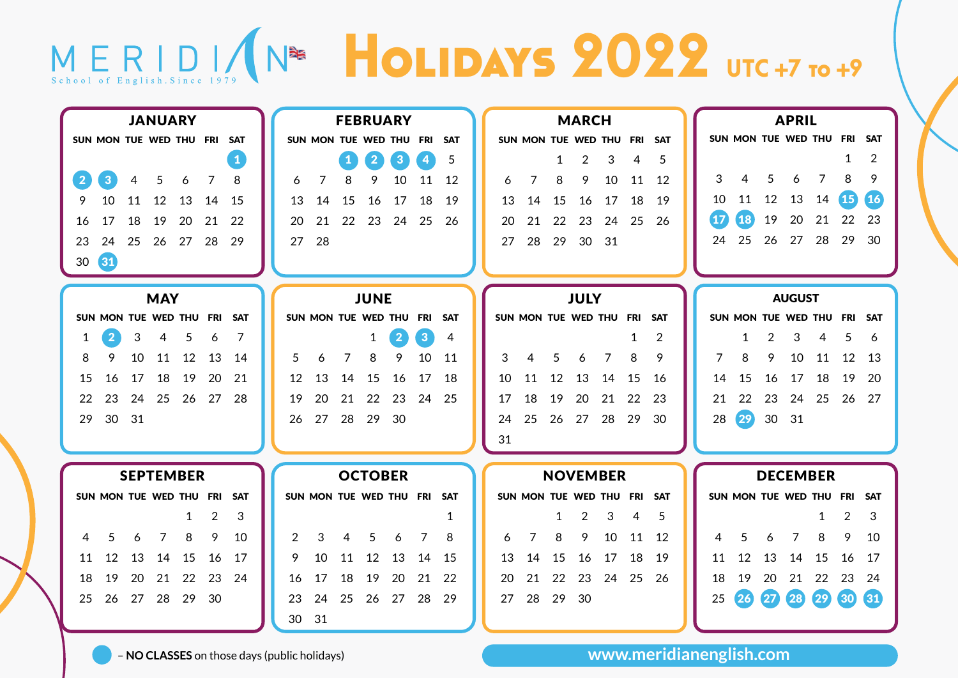## MERIDI (N<sup>26</sup> HOLIDAYS 2022 UTC +7 TO +9

| <b>JANUARY</b> |                  |                     |    |            |                         |                | <b>FEBRUARY</b> |    |    |             |                         |              | <b>MARCH</b>            |                 |    |                         |    |                | <b>APRIL</b> |                 |            |    |      |    |               |                         |                 |                |
|----------------|------------------|---------------------|----|------------|-------------------------|----------------|-----------------|----|----|-------------|-------------------------|--------------|-------------------------|-----------------|----|-------------------------|----|----------------|--------------|-----------------|------------|----|------|----|---------------|-------------------------|-----------------|----------------|
|                |                  |                     |    |            | SUN MON TUE WED THU FRI |                | <b>SAT</b>      |    |    |             | SUN MON TUE WED THU     |              | FRI                     | <b>SAT</b>      |    | SUN MON TUE WED THU FRI |    |                |              |                 | <b>SAT</b> |    |      |    |               | SUN MON TUE WED THU FRI |                 | SAT            |
|                |                  |                     |    |            |                         |                |                 |    |    | $\mathbf 1$ | $\boxed{2}$             | $\mathbf{3}$ | $\overline{\mathbf{4}}$ | 5               |    |                         | 1  | $\overline{2}$ | 3            | 4               | 5          |    |      |    |               |                         | 1               | $\overline{2}$ |
|                | $\overline{2}$   | 3 <sup>1</sup>      | 4  | 5          | 6                       | 7              | 8               | 6  | 7  | 8           | 9                       | 10           | 11                      | 12              | 6  | 7                       | 8  | 9              | 10           | 11              | -12        | 3  | 4    | 5  | 6             | 7                       | 8               | 9              |
|                | 9                | 10                  | 11 | 12         | 13                      | 14             | 15              | 13 | 14 | 15          | 16                      | 17           | 18                      | 19              | 13 | 14                      | 15 | 16             | 17           | 18              | 19         | 10 | 11   | 12 | 13            | 14                      | (15)            | 【16            |
|                |                  |                     | 18 | 19         |                         |                | 22              |    |    | 22          | 23                      | 24           | 25                      | 26              |    |                         | 22 | 23             |              |                 | 26         | 17 | 18   | 19 | 20            | 21                      | 22              | 23             |
|                | 16               | 17                  |    |            | 20                      | 21             |                 | 20 | 21 |             |                         |              |                         |                 | 20 | 21                      |    |                | 24           | 25              |            |    |      |    |               |                         |                 |                |
|                | 23               | 24                  | 25 | 26         | 27                      | 28             | 29              | 27 | 28 |             |                         |              |                         |                 | 27 | 28                      | 29 | 30             | 31           |                 |            | 24 | 25   | 26 | 27            | 28                      | 29              | 30             |
|                | 30               | $\left( 31 \right)$ |    |            |                         |                |                 |    |    |             |                         |              |                         |                 |    |                         |    |                |              |                 |            |    |      |    |               |                         |                 |                |
|                |                  |                     |    |            |                         |                |                 |    |    |             |                         |              |                         |                 |    |                         |    |                |              |                 |            |    |      |    |               |                         |                 |                |
|                |                  |                     |    | <b>MAY</b> |                         |                |                 |    |    |             | <b>JUNE</b>             |              |                         |                 |    |                         |    | <b>JULY</b>    |              |                 |            |    |      |    | <b>AUGUST</b> |                         |                 |                |
|                |                  |                     |    |            | SUN MON TUE WED THU FRI |                | <b>SAT</b>      |    |    |             | SUN MON TUE WED THU FRI |              |                         | <b>SAT</b>      |    | SUN MON TUE WED THU FRI |    |                |              |                 | SAT        |    |      |    |               | SUN MON TUE WED THU     | FRI             | SAT            |
|                |                  | $\overline{2}$      | 3  | 4          | 5                       | 6              | 7               |    |    |             | 1                       | $\mathbf{2}$ | 3 <sup>2</sup>          | 4               |    |                         |    |                |              | 1               | 2          |    | 1    | 2  | 3             | 4                       | 5               | 6              |
|                | 8                | 9                   | 10 | 11         | 12                      | 13             | 14              | 5  | 6  | 7           | 8                       | 9            | 10                      | 11              | 3  | 4                       | 5  | 6              | 7            | 8               | 9          | 7  | 8    | 9  | 10            | 11                      | 12              | -13            |
|                | 15               | 16                  | 17 | 18         | 19                      | 20             | 21              | 12 | 13 | 14          | 15                      | 16           | 17                      | 18              | 10 | 11                      | 12 | 13             | 14           | 15              | 16         | 14 | 15   | 16 | 17            | 18                      | 19              | -20            |
|                | 22               | 23                  | 24 | 25         | 26                      | 27             | -28             | 19 | 20 | 21          | 22                      | 23           | 24                      | 25              | 17 | 18                      | 19 | 20             | 21           | 22              | 23         | 21 | 22   | 23 | 24            | 25                      | 26              | 27             |
|                | 29               | 30                  | 31 |            |                         |                |                 | 26 | 27 | 28          | 29                      | 30           |                         |                 | 24 | 25                      | 26 | 27             | 28           | 29              | 30         | 28 | (29) | 30 | -31           |                         |                 |                |
|                |                  |                     |    |            |                         |                |                 |    |    |             |                         |              |                         |                 | 31 |                         |    |                |              |                 |            |    |      |    |               |                         |                 |                |
|                |                  |                     |    |            |                         |                |                 |    |    |             |                         |              |                         |                 |    |                         |    |                |              |                 |            |    |      |    |               |                         |                 |                |
|                | <b>SEPTEMBER</b> |                     |    |            |                         |                | <b>OCTOBER</b>  |    |    |             |                         |              |                         | <b>NOVEMBER</b> |    |                         |    |                |              | <b>DECEMBER</b> |            |    |      |    |               |                         |                 |                |
|                |                  |                     |    |            | SUN MON TUE WED THU FRI |                | <b>SAT</b>      |    |    |             | SUN MON TUE WED THU FRI |              |                         | <b>SAT</b>      |    | SUN MON TUE WED THU     |    |                |              | FRI             | <b>SAT</b> |    |      |    |               | SUN MON TUE WED THU     | FRI             | <b>SAT</b>     |
|                |                  |                     |    |            | 1                       | $\overline{2}$ | 3               |    |    |             |                         |              |                         | 1               |    |                         | 1  | 2              | 3            | 4               | 5          |    |      |    |               | 1                       | 2               | 3              |
|                | 4                | 5                   | 6  | 7          | 8                       | 9              | 10              | 2  | 3  | 4           | 5                       | 6            | 7                       | 8               | 6  | 7                       | 8  | 9              | 10           | 11              | 12         | 4  | 5    | 6  | 7             | 8                       | 9               | 10             |
|                | 11               | 12                  | 13 | 14         | 15                      | 16             | 17              | 9  | 10 | 11          | 12                      | 13           | 14                      | -15             | 13 | 14                      | 15 | 16             | 17           | 18              | 19         | 11 | 12   | 13 | 14            | 15                      | 16              | 17             |
|                | 18               | 19                  | 20 | 21         | 22                      | 23             | 24              | 16 | 17 | 18          | 19                      | 20           | 21                      | 22              | 20 | 21                      | 22 | 23             | 24           | 25              | 26         | 18 | 19   | 20 | 21            | 22                      | 23              | 24             |
|                |                  |                     |    |            |                         |                |                 |    |    |             |                         |              |                         |                 |    |                         |    |                |              |                 |            |    |      |    |               |                         |                 |                |
|                | 25               | 26                  | 27 | 28         | 29                      | 30             |                 | 23 | 24 | 25          | 26                      | 27           | 28                      | 29              | 27 | 28                      | 29 | 30             |              |                 |            | 25 | 26   | 27 | 28            | 29                      | 30 <sub>2</sub> | 31             |
|                |                  |                     |    |            |                         |                |                 | 30 | 31 |             |                         |              |                         |                 |    |                         |    |                |              |                 |            |    |      |    |               |                         |                 |                |